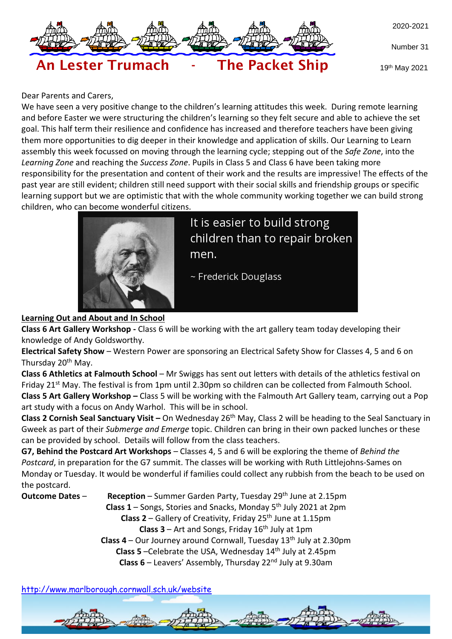

Number 31



19th May 2021

#### Dear Parents and Carers,

We have seen a very positive change to the children's learning attitudes this week. During remote learning and before Easter we were structuring the children's learning so they felt secure and able to achieve the set goal. This half term their resilience and confidence has increased and therefore teachers have been giving them more opportunities to dig deeper in their knowledge and application of skills. Our Learning to Learn assembly this week focussed on moving through the learning cycle; stepping out of the *Safe Zone*, into the *Learning Zone* and reaching the *Success Zone*. Pupils in Class 5 and Class 6 have been taking more responsibility for the presentation and content of their work and the results are impressive! The effects of the past year are still evident; children still need support with their social skills and friendship groups or specific learning support but we are optimistic that with the whole community working together we can build strong children, who can become wonderful citizens.



It is easier to build strong children than to repair broken men.

~ Frederick Douglass

### **Learning Out and About and In School**

**Class 6 Art Gallery Workshop -** Class 6 will be working with the art gallery team today developing their knowledge of Andy Goldsworthy.

**Electrical Safety Show** – Western Power are sponsoring an Electrical Safety Show for Classes 4, 5 and 6 on Thursday 20<sup>th</sup> May.

**Class 6 Athletics at Falmouth School** – Mr Swiggs has sent out letters with details of the athletics festival on Friday 21st May. The festival is from 1pm until 2.30pm so children can be collected from Falmouth School. **Class 5 Art Gallery Workshop –** Class 5 will be working with the Falmouth Art Gallery team, carrying out a Pop art study with a focus on Andy Warhol. This will be in school.

**Class 2 Cornish Seal Sanctuary Visit –** On Wednesday 26th May, Class 2 will be heading to the Seal Sanctuary in Gweek as part of their *Submerge and Emerge* topic. Children can bring in their own packed lunches or these can be provided by school. Details will follow from the class teachers.

**G7, Behind the Postcard Art Workshops** – Classes 4, 5 and 6 will be exploring the theme of *Behind the Postcard*, in preparation for the G7 summit. The classes will be working with Ruth Littlejohns-Sames on Monday or Tuesday. It would be wonderful if families could collect any rubbish from the beach to be used on the postcard.

**Outcome Dates** – **Reception** – Summer Garden Party, Tuesday 29<sup>th</sup> June at 2.15pm **Class 1** – Songs, Stories and Snacks, Monday 5 th July 2021 at 2pm **Class 2** – Gallery of Creativity, Friday 25th June at 1.15pm **Class**  $3$  **– Art and Songs, Friday**  $16<sup>th</sup>$  **July at 1pm Class 4** – Our Journey around Cornwall, Tuesday 13th July at 2.30pm **Class 5** –Celebrate the USA, Wednesday 14th July at 2.45pm **Class 6** – Leavers' Assembly, Thursday 22nd July at 9.30am

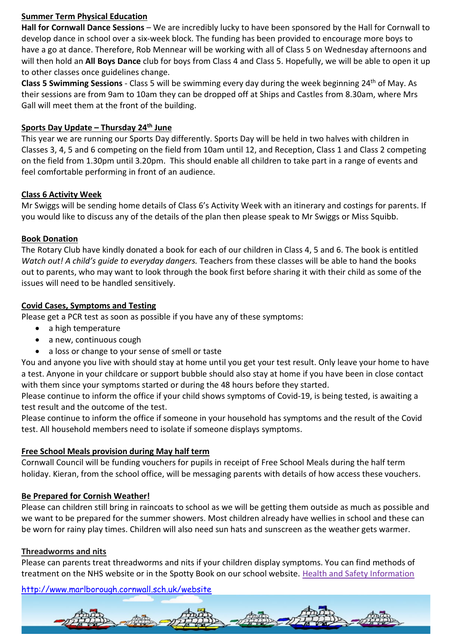### **Summer Term Physical Education**

**Hall for Cornwall Dance Sessions** – We are incredibly lucky to have been sponsored by the Hall for Cornwall to develop dance in school over a six-week block. The funding has been provided to encourage more boys to have a go at dance. Therefore, Rob Mennear will be working with all of Class 5 on Wednesday afternoons and will then hold an **All Boys Dance** club for boys from Class 4 and Class 5. Hopefully, we will be able to open it up to other classes once guidelines change.

**Class 5 Swimming Sessions** - Class 5 will be swimming every day during the week beginning 24th of May. As their sessions are from 9am to 10am they can be dropped off at Ships and Castles from 8.30am, where Mrs Gall will meet them at the front of the building.

### **Sports Day Update – Thursday 24th June**

This year we are running our Sports Day differently. Sports Day will be held in two halves with children in Classes 3, 4, 5 and 6 competing on the field from 10am until 12, and Reception, Class 1 and Class 2 competing on the field from 1.30pm until 3.20pm. This should enable all children to take part in a range of events and feel comfortable performing in front of an audience.

## **Class 6 Activity Week**

Mr Swiggs will be sending home details of Class 6's Activity Week with an itinerary and costings for parents. If you would like to discuss any of the details of the plan then please speak to Mr Swiggs or Miss Squibb.

## **Book Donation**

The Rotary Club have kindly donated a book for each of our children in Class 4, 5 and 6. The book is entitled *Watch out! A child's guide to everyday dangers.* Teachers from these classes will be able to hand the books out to parents, who may want to look through the book first before sharing it with their child as some of the issues will need to be handled sensitively.

## **Covid Cases, Symptoms and Testing**

Please get a PCR test as soon as possible if you have any of these symptoms:

- a high temperature
- a new, continuous cough
- a loss or change to your sense of smell or taste

You and anyone you live with should stay at home until you get your test result. Only leave your home to have a test. Anyone in your childcare or support bubble should also stay at home if you have been in close contact with them since your symptoms started or during the 48 hours before they started.

Please continue to inform the office if your child shows symptoms of Covid-19, is being tested, is awaiting a test result and the outcome of the test.

Please continue to inform the office if someone in your household has symptoms and the result of the Covid test. All household members need to isolate if someone displays symptoms.

# **Free School Meals provision during May half term**

Cornwall Council will be funding vouchers for pupils in receipt of Free School Meals during the half term holiday. Kieran, from the school office, will be messaging parents with details of how access these vouchers.

# **Be Prepared for Cornish Weather!**

Please can children still bring in raincoats to school as we will be getting them outside as much as possible and we want to be prepared for the summer showers. Most children already have wellies in school and these can be worn for rainy play times. Children will also need sun hats and sunscreen as the weather gets warmer.

# **Threadworms and nits**

Please can parents treat threadworms and nits if your children display symptoms. You can find methods of treatment on the NHS website or in the Spotty Book on our school website. [Health and Safety Information](http://www.marlborough.cornwall.sch.uk/website/health_and_safety_information/7904)

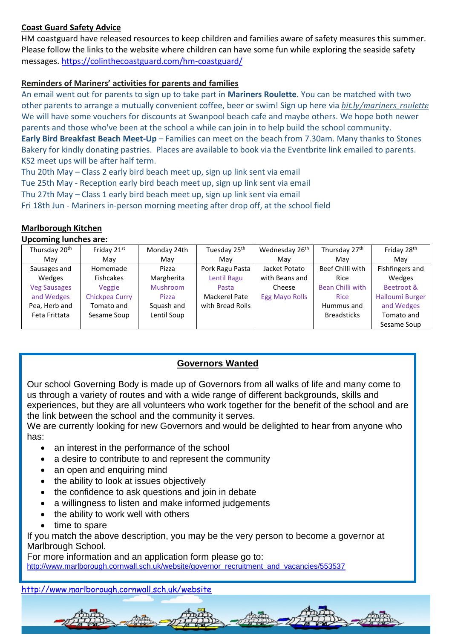# **Coast Guard Safety Advice**

HM coastguard have released resources to keep children and families aware of safety measures this summer. Please follow the links to the website where children can have some fun while exploring the seaside safety messages.<https://colinthecoastguard.com/hm-coastguard/>

### **Reminders of Mariners' activities for parents and families**

An email went out for parents to sign up to take part in **Mariners Roulette**. You can be matched with two other parents to arrange a mutually convenient coffee, beer or swim! Sign up here via *[bit.ly/mariners\\_roulette](http://bit.ly/mariners_roulette)* We will have some vouchers for discounts at Swanpool beach cafe and maybe others. We hope both newer parents and those who've been at the school a while can join in to help build the school community. **Early Bird Breakfast Beach Meet-Up** – Families can meet on the beach from 7.30am. Many thanks to Stones Bakery for kindly donating pastries. Places are available to book via the Eventbrite link emailed to parents. KS2 meet ups will be after half term.

Thu 20th May – Class 2 early bird beach meet up, sign up link sent via email

Tue 25th May - Reception early bird beach meet up, sign up link sent via email

Thu 27th May – Class 1 early bird beach meet up, sign up link sent via email

Fri 18th Jun - Mariners in-person morning meeting after drop off, at the school field

### **Marlborough Kitchen**

#### **Upcoming lunches are:**

| Thursday 20 <sup>th</sup> | Friday 21st      | Monday 24th | Tuesday 25 <sup>th</sup> | Wednesday 26 <sup>th</sup> | Thursday 27th      | Friday 28 <sup>th</sup> |
|---------------------------|------------------|-------------|--------------------------|----------------------------|--------------------|-------------------------|
| May                       | Mav              | Mav         | Mav                      | Mav                        | Mav                | May                     |
| Sausages and              | Homemade         | Pizza       | Pork Ragu Pasta          | Jacket Potato              | Beef Chilli with   | Fishfingers and         |
| Wedges                    | <b>Fishcakes</b> | Margherita  | Lentil Ragu              | with Beans and             | Rice               | Wedges                  |
| <b>Veg Sausages</b>       | Veggie           | Mushroom    | Pasta                    | Cheese                     | Bean Chilli with   | Beetroot &              |
| and Wedges                | Chickpea Curry   | Pizza       | Mackerel Pate            | <b>Egg Mayo Rolls</b>      | <b>Rice</b>        | <b>Halloumi Burger</b>  |
| Pea, Herb and             | Tomato and       | Squash and  | with Bread Rolls         |                            | Hummus and         | and Wedges              |
| Feta Frittata             | Sesame Soup      | Lentil Soup |                          |                            | <b>Breadsticks</b> | Tomato and              |
|                           |                  |             |                          |                            |                    | Sesame Soup             |

### **Governors Wanted**

Our school Governing Body is made up of Governors from all walks of life and many come to us through a variety of routes and with a wide range of different backgrounds, skills and experiences, but they are all volunteers who work together for the benefit of the school and are the link between the school and the community it serves.

We are currently looking for new Governors and would be delighted to hear from anyone who has:

- an interest in the performance of the school
- a desire to contribute to and represent the community
- an open and enquiring mind
- the ability to look at issues objectively
- the confidence to ask questions and join in debate
- a willingness to listen and make informed judgements
- the ability to work well with others
- time to spare

If you match the above description, you may be the very person to become a governor at Marlbrough School.

For more information and an application form please go to:

[http://www.marlborough.cornwall.sch.uk/website/governor\\_recruitment\\_and\\_vacancies/553537](http://www.marlborough.cornwall.sch.uk/website/governor_recruitment_and_vacancies/553537)